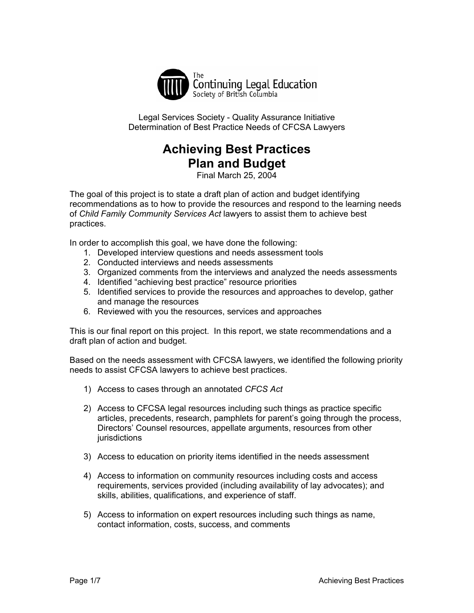

Legal Services Society - Quality Assurance Initiative Determination of Best Practice Needs of CFCSA Lawyers

# **Achieving Best Practices Plan and Budget**

Final March 25, 2004

The goal of this project is to state a draft plan of action and budget identifying recommendations as to how to provide the resources and respond to the learning needs of *Child Family Community Services Act* lawyers to assist them to achieve best practices.

In order to accomplish this goal, we have done the following:

- 1. Developed interview questions and needs assessment tools
- 2. Conducted interviews and needs assessments
- 3. Organized comments from the interviews and analyzed the needs assessments
- 4. Identified "achieving best practice" resource priorities
- 5. Identified services to provide the resources and approaches to develop, gather and manage the resources
- 6. Reviewed with you the resources, services and approaches

This is our final report on this project. In this report, we state recommendations and a draft plan of action and budget.

Based on the needs assessment with CFCSA lawyers, we identified the following priority needs to assist CFCSA lawyers to achieve best practices.

- 1) Access to cases through an annotated *CFCS Act*
- 2) Access to CFCSA legal resources including such things as practice specific articles, precedents, research, pamphlets for parent's going through the process, Directors' Counsel resources, appellate arguments, resources from other jurisdictions
- 3) Access to education on priority items identified in the needs assessment
- 4) Access to information on community resources including costs and access requirements, services provided (including availability of lay advocates); and skills, abilities, qualifications, and experience of staff.
- 5) Access to information on expert resources including such things as name, contact information, costs, success, and comments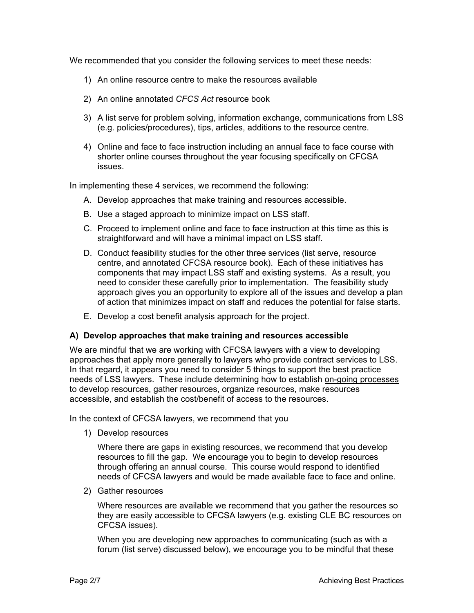We recommended that you consider the following services to meet these needs:

- 1) An online resource centre to make the resources available
- 2) An online annotated *CFCS Act* resource book
- 3) A list serve for problem solving, information exchange, communications from LSS (e.g. policies/procedures), tips, articles, additions to the resource centre.
- 4) Online and face to face instruction including an annual face to face course with shorter online courses throughout the year focusing specifically on CFCSA issues.

In implementing these 4 services, we recommend the following:

- A. Develop approaches that make training and resources accessible.
- B. Use a staged approach to minimize impact on LSS staff.
- C. Proceed to implement online and face to face instruction at this time as this is straightforward and will have a minimal impact on LSS staff.
- D. Conduct feasibility studies for the other three services (list serve, resource centre, and annotated CFCSA resource book). Each of these initiatives has components that may impact LSS staff and existing systems. As a result, you need to consider these carefully prior to implementation. The feasibility study approach gives you an opportunity to explore all of the issues and develop a plan of action that minimizes impact on staff and reduces the potential for false starts.
- E. Develop a cost benefit analysis approach for the project.

# **A) Develop approaches that make training and resources accessible**

We are mindful that we are working with CFCSA lawyers with a view to developing approaches that apply more generally to lawyers who provide contract services to LSS. In that regard, it appears you need to consider 5 things to support the best practice needs of LSS lawyers. These include determining how to establish on-going processes to develop resources, gather resources, organize resources, make resources accessible, and establish the cost/benefit of access to the resources.

In the context of CFCSA lawyers, we recommend that you

1) Develop resources

Where there are gaps in existing resources, we recommend that you develop resources to fill the gap. We encourage you to begin to develop resources through offering an annual course. This course would respond to identified needs of CFCSA lawyers and would be made available face to face and online.

2) Gather resources

Where resources are available we recommend that you gather the resources so they are easily accessible to CFCSA lawyers (e.g. existing CLE BC resources on CFCSA issues).

When you are developing new approaches to communicating (such as with a forum (list serve) discussed below), we encourage you to be mindful that these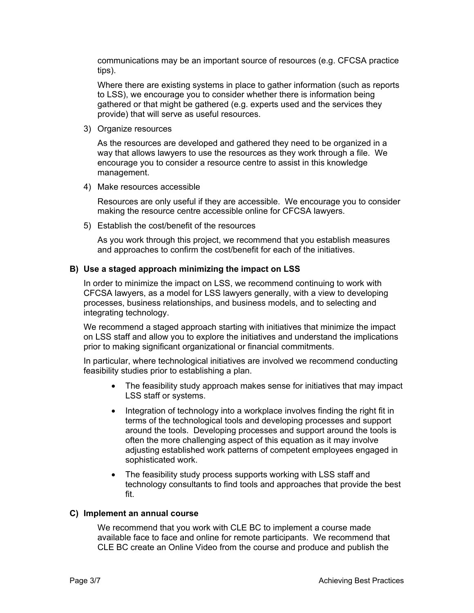communications may be an important source of resources (e.g. CFCSA practice tips).

Where there are existing systems in place to gather information (such as reports to LSS), we encourage you to consider whether there is information being gathered or that might be gathered (e.g. experts used and the services they provide) that will serve as useful resources.

3) Organize resources

As the resources are developed and gathered they need to be organized in a way that allows lawyers to use the resources as they work through a file. We encourage you to consider a resource centre to assist in this knowledge management.

4) Make resources accessible

Resources are only useful if they are accessible. We encourage you to consider making the resource centre accessible online for CFCSA lawyers.

5) Establish the cost/benefit of the resources

As you work through this project, we recommend that you establish measures and approaches to confirm the cost/benefit for each of the initiatives.

# **B) Use a staged approach minimizing the impact on LSS**

In order to minimize the impact on LSS, we recommend continuing to work with CFCSA lawyers, as a model for LSS lawyers generally, with a view to developing processes, business relationships, and business models, and to selecting and integrating technology.

We recommend a staged approach starting with initiatives that minimize the impact on LSS staff and allow you to explore the initiatives and understand the implications prior to making significant organizational or financial commitments.

In particular, where technological initiatives are involved we recommend conducting feasibility studies prior to establishing a plan.

- The feasibility study approach makes sense for initiatives that may impact LSS staff or systems.
- Integration of technology into a workplace involves finding the right fit in terms of the technological tools and developing processes and support around the tools. Developing processes and support around the tools is often the more challenging aspect of this equation as it may involve adjusting established work patterns of competent employees engaged in sophisticated work.
- The feasibility study process supports working with LSS staff and technology consultants to find tools and approaches that provide the best fit.

#### **C) Implement an annual course**

We recommend that you work with CLE BC to implement a course made available face to face and online for remote participants. We recommend that CLE BC create an Online Video from the course and produce and publish the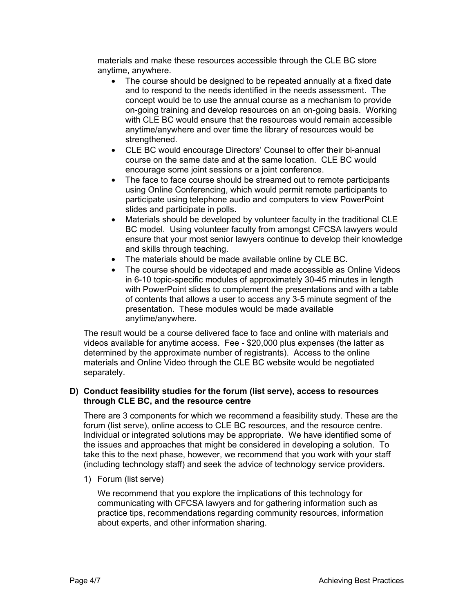materials and make these resources accessible through the CLE BC store anytime, anywhere.

- The course should be designed to be repeated annually at a fixed date and to respond to the needs identified in the needs assessment. The concept would be to use the annual course as a mechanism to provide on-going training and develop resources on an on-going basis. Working with CLE BC would ensure that the resources would remain accessible anytime/anywhere and over time the library of resources would be strengthened.
- CLE BC would encourage Directors' Counsel to offer their bi-annual course on the same date and at the same location. CLE BC would encourage some joint sessions or a joint conference.
- The face to face course should be streamed out to remote participants using Online Conferencing, which would permit remote participants to participate using telephone audio and computers to view PowerPoint slides and participate in polls.
- Materials should be developed by volunteer faculty in the traditional CLE BC model. Using volunteer faculty from amongst CFCSA lawyers would ensure that your most senior lawyers continue to develop their knowledge and skills through teaching.
- The materials should be made available online by CLE BC.
- The course should be videotaped and made accessible as Online Videos in 6-10 topic-specific modules of approximately 30-45 minutes in length with PowerPoint slides to complement the presentations and with a table of contents that allows a user to access any 3-5 minute segment of the presentation. These modules would be made available anytime/anywhere.

The result would be a course delivered face to face and online with materials and videos available for anytime access. Fee - \$20,000 plus expenses (the latter as determined by the approximate number of registrants). Access to the online materials and Online Video through the CLE BC website would be negotiated separately.

# **D) Conduct feasibility studies for the forum (list serve), access to resources through CLE BC, and the resource centre**

There are 3 components for which we recommend a feasibility study. These are the forum (list serve), online access to CLE BC resources, and the resource centre. Individual or integrated solutions may be appropriate. We have identified some of the issues and approaches that might be considered in developing a solution. To take this to the next phase, however, we recommend that you work with your staff (including technology staff) and seek the advice of technology service providers.

1) Forum (list serve)

We recommend that you explore the implications of this technology for communicating with CFCSA lawyers and for gathering information such as practice tips, recommendations regarding community resources, information about experts, and other information sharing.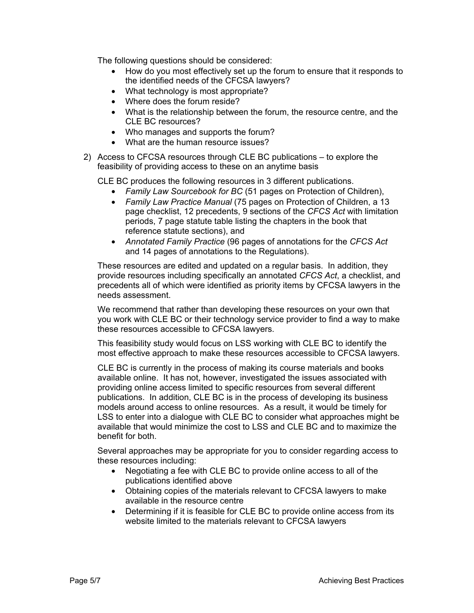The following questions should be considered:

- How do you most effectively set up the forum to ensure that it responds to the identified needs of the CFCSA lawyers?
- What technology is most appropriate?
- Where does the forum reside?
- What is the relationship between the forum, the resource centre, and the CLE BC resources?
- Who manages and supports the forum?
- What are the human resource issues?
- 2) Access to CFCSA resources through CLE BC publications to explore the feasibility of providing access to these on an anytime basis

CLE BC produces the following resources in 3 different publications.

- *Family Law Sourcebook for BC* (51 pages on Protection of Children),
- *Family Law Practice Manual* (75 pages on Protection of Children, a 13 page checklist, 12 precedents, 9 sections of the *CFCS Act* with limitation periods, 7 page statute table listing the chapters in the book that reference statute sections), and
- *Annotated Family Practice* (96 pages of annotations for the *CFCS Act* and 14 pages of annotations to the Regulations).

These resources are edited and updated on a regular basis. In addition, they provide resources including specifically an annotated *CFCS Act*, a checklist, and precedents all of which were identified as priority items by CFCSA lawyers in the needs assessment.

We recommend that rather than developing these resources on your own that you work with CLE BC or their technology service provider to find a way to make these resources accessible to CFCSA lawyers.

This feasibility study would focus on LSS working with CLE BC to identify the most effective approach to make these resources accessible to CFCSA lawyers.

CLE BC is currently in the process of making its course materials and books available online. It has not, however, investigated the issues associated with providing online access limited to specific resources from several different publications. In addition, CLE BC is in the process of developing its business models around access to online resources. As a result, it would be timely for LSS to enter into a dialogue with CLE BC to consider what approaches might be available that would minimize the cost to LSS and CLE BC and to maximize the benefit for both.

Several approaches may be appropriate for you to consider regarding access to these resources including:

- Negotiating a fee with CLE BC to provide online access to all of the publications identified above
- Obtaining copies of the materials relevant to CFCSA lawyers to make available in the resource centre
- Determining if it is feasible for CLE BC to provide online access from its website limited to the materials relevant to CFCSA lawyers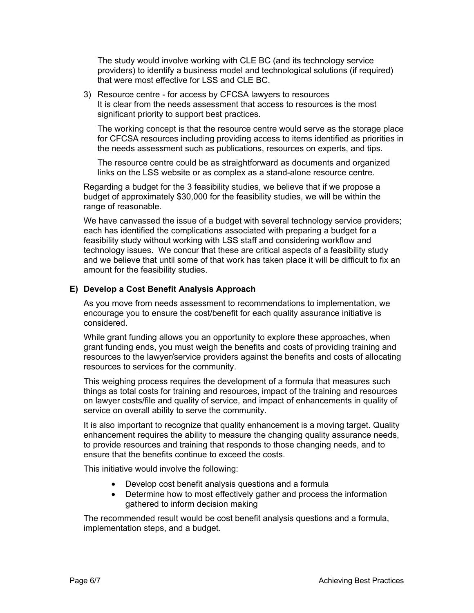The study would involve working with CLE BC (and its technology service providers) to identify a business model and technological solutions (if required) that were most effective for LSS and CLE BC.

3) Resource centre - for access by CFCSA lawyers to resources It is clear from the needs assessment that access to resources is the most significant priority to support best practices.

The working concept is that the resource centre would serve as the storage place for CFCSA resources including providing access to items identified as priorities in the needs assessment such as publications, resources on experts, and tips.

The resource centre could be as straightforward as documents and organized links on the LSS website or as complex as a stand-alone resource centre.

Regarding a budget for the 3 feasibility studies, we believe that if we propose a budget of approximately \$30,000 for the feasibility studies, we will be within the range of reasonable.

We have canvassed the issue of a budget with several technology service providers; each has identified the complications associated with preparing a budget for a feasibility study without working with LSS staff and considering workflow and technology issues. We concur that these are critical aspects of a feasibility study and we believe that until some of that work has taken place it will be difficult to fix an amount for the feasibility studies.

# **E) Develop a Cost Benefit Analysis Approach**

As you move from needs assessment to recommendations to implementation, we encourage you to ensure the cost/benefit for each quality assurance initiative is considered.

While grant funding allows you an opportunity to explore these approaches, when grant funding ends, you must weigh the benefits and costs of providing training and resources to the lawyer/service providers against the benefits and costs of allocating resources to services for the community.

This weighing process requires the development of a formula that measures such things as total costs for training and resources, impact of the training and resources on lawyer costs/file and quality of service, and impact of enhancements in quality of service on overall ability to serve the community.

It is also important to recognize that quality enhancement is a moving target. Quality enhancement requires the ability to measure the changing quality assurance needs, to provide resources and training that responds to those changing needs, and to ensure that the benefits continue to exceed the costs.

This initiative would involve the following:

- Develop cost benefit analysis questions and a formula
- Determine how to most effectively gather and process the information gathered to inform decision making

The recommended result would be cost benefit analysis questions and a formula, implementation steps, and a budget.